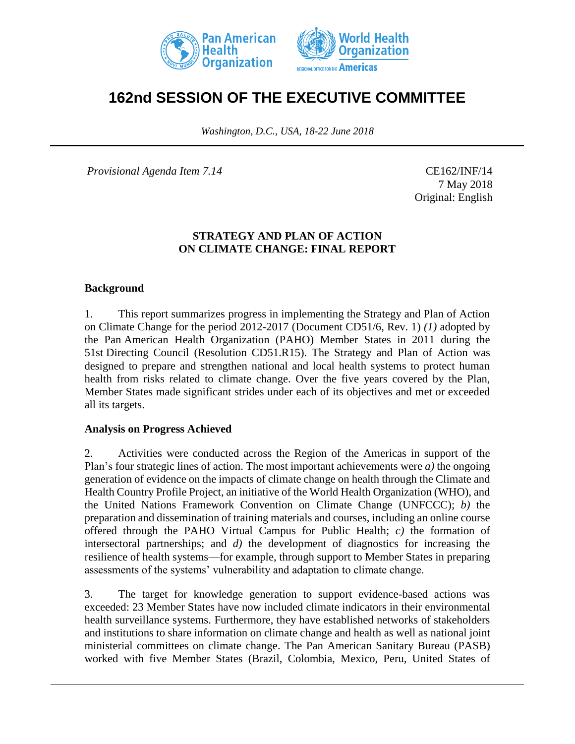



# **162nd SESSION OF THE EXECUTIVE COMMITTEE**

*Washington, D.C., USA, 18-22 June 2018*

*Provisional Agenda Item 7.14* CE162/INF/14

7 May 2018 Original: English

## **STRATEGY AND PLAN OF ACTION ON CLIMATE CHANGE: FINAL REPORT**

### **Background**

1. This report summarizes progress in implementing the Strategy and Plan of Action on Climate Change for the period 2012-2017 (Document CD51/6, Rev. 1) *(1)* adopted by the Pan American Health Organization (PAHO) Member States in 2011 during the 51st Directing Council (Resolution CD51.R15). The Strategy and Plan of Action was designed to prepare and strengthen national and local health systems to protect human health from risks related to climate change. Over the five years covered by the Plan, Member States made significant strides under each of its objectives and met or exceeded all its targets.

#### **Analysis on Progress Achieved**

2. Activities were conducted across the Region of the Americas in support of the Plan's four strategic lines of action. The most important achievements were *a)* the ongoing generation of evidence on the impacts of climate change on health through the Climate and Health Country Profile Project, an initiative of the World Health Organization (WHO), and the United Nations Framework Convention on Climate Change (UNFCCC); *b)* the preparation and dissemination of training materials and courses, including an online course offered through the PAHO Virtual Campus for Public Health; *c)* the formation of intersectoral partnerships; and *d)* the development of diagnostics for increasing the resilience of health systems—for example, through support to Member States in preparing assessments of the systems' vulnerability and adaptation to climate change.

3. The target for knowledge generation to support evidence-based actions was exceeded: 23 Member States have now included climate indicators in their environmental health surveillance systems. Furthermore, they have established networks of stakeholders and institutions to share information on climate change and health as well as national joint ministerial committees on climate change. The Pan American Sanitary Bureau (PASB) worked with five Member States (Brazil, Colombia, Mexico, Peru, United States of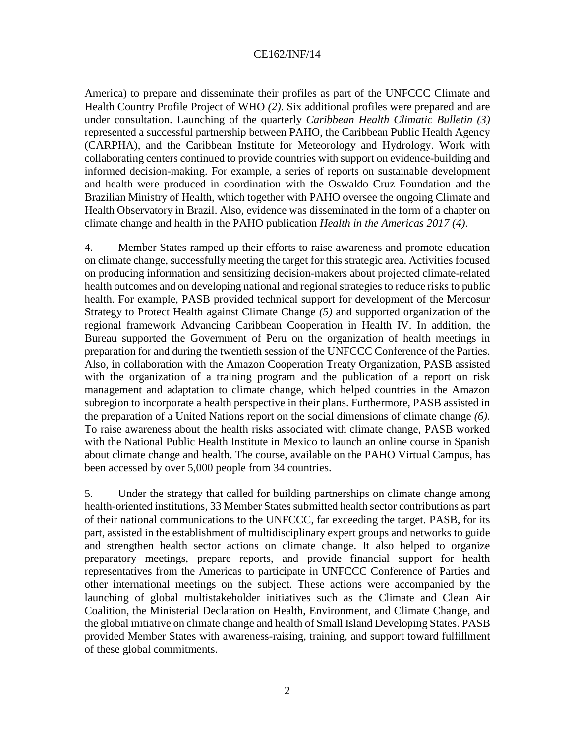America) to prepare and disseminate their profiles as part of the UNFCCC Climate and Health Country Profile Project of WHO *(2)*. Six additional profiles were prepared and are under consultation. Launching of the quarterly *Caribbean Health Climatic Bulletin (3)* represented a successful partnership between PAHO, the Caribbean Public Health Agency (CARPHA), and the Caribbean Institute for Meteorology and Hydrology. Work with collaborating centers continued to provide countries with support on evidence-building and informed decision-making. For example, a series of reports on sustainable development and health were produced in coordination with the Oswaldo Cruz Foundation and the Brazilian Ministry of Health, which together with PAHO oversee the ongoing Climate and Health Observatory in Brazil. Also, evidence was disseminated in the form of a chapter on climate change and health in the PAHO publication *Health in the Americas 2017 (4)*.

4. Member States ramped up their efforts to raise awareness and promote education on climate change, successfully meeting the target for this strategic area. Activities focused on producing information and sensitizing decision-makers about projected climate-related health outcomes and on developing national and regional strategies to reduce risks to public health. For example, PASB provided technical support for development of the Mercosur Strategy to Protect Health against Climate Change *(5)* and supported organization of the regional framework Advancing Caribbean Cooperation in Health IV. In addition, the Bureau supported the Government of Peru on the organization of health meetings in preparation for and during the twentieth session of the UNFCCC Conference of the Parties. Also, in collaboration with the Amazon Cooperation Treaty Organization, PASB assisted with the organization of a training program and the publication of a report on risk management and adaptation to climate change, which helped countries in the Amazon subregion to incorporate a health perspective in their plans. Furthermore, PASB assisted in the preparation of a United Nations report on the social dimensions of climate change *(6)*. To raise awareness about the health risks associated with climate change, PASB worked with the National Public Health Institute in Mexico to launch an online course in Spanish about climate change and health. The course, available on the PAHO Virtual Campus, has been accessed by over 5,000 people from 34 countries.

5. Under the strategy that called for building partnerships on climate change among health-oriented institutions, 33 Member States submitted health sector contributions as part of their national communications to the UNFCCC, far exceeding the target. PASB, for its part, assisted in the establishment of multidisciplinary expert groups and networks to guide and strengthen health sector actions on climate change. It also helped to organize preparatory meetings, prepare reports, and provide financial support for health representatives from the Americas to participate in UNFCCC Conference of Parties and other international meetings on the subject. These actions were accompanied by the launching of global multistakeholder initiatives such as the Climate and Clean Air Coalition, the Ministerial Declaration on Health, Environment, and Climate Change, and the global initiative on climate change and health of Small Island Developing States. PASB provided Member States with awareness-raising, training, and support toward fulfillment of these global commitments.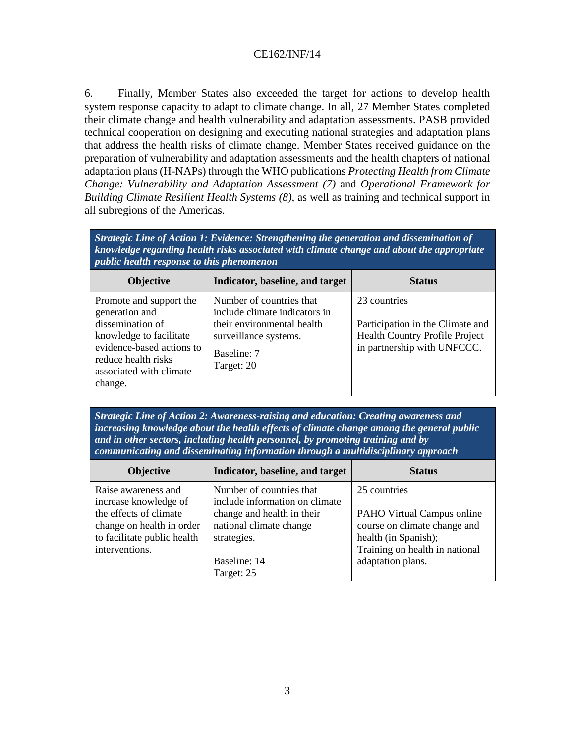6. Finally, Member States also exceeded the target for actions to develop health system response capacity to adapt to climate change. In all, 27 Member States completed their climate change and health vulnerability and adaptation assessments. PASB provided technical cooperation on designing and executing national strategies and adaptation plans that address the health risks of climate change. Member States received guidance on the preparation of vulnerability and adaptation assessments and the health chapters of national adaptation plans (H-NAPs) through the WHO publications *Protecting Health from Climate Change: Vulnerability and Adaptation Assessment (7)* and *Operational Framework for Building Climate Resilient Health Systems (8)*, as well as training and technical support in all subregions of the Americas.

| Strategic Line of Action 1: Evidence: Strengthening the generation and dissemination of<br>knowledge regarding health risks associated with climate change and about the appropriate<br><i>public health response to this phenomenon</i> |                                                                                                                                               |                                                                                                                   |  |  |
|------------------------------------------------------------------------------------------------------------------------------------------------------------------------------------------------------------------------------------------|-----------------------------------------------------------------------------------------------------------------------------------------------|-------------------------------------------------------------------------------------------------------------------|--|--|
| <b>Objective</b>                                                                                                                                                                                                                         | Indicator, baseline, and target                                                                                                               | <b>Status</b>                                                                                                     |  |  |
| Promote and support the<br>generation and<br>dissemination of<br>knowledge to facilitate<br>evidence-based actions to<br>reduce health risks<br>associated with climate<br>change.                                                       | Number of countries that<br>include climate indicators in<br>their environmental health<br>surveillance systems.<br>Baseline: 7<br>Target: 20 | 23 countries<br>Participation in the Climate and<br>Health Country Profile Project<br>in partnership with UNFCCC. |  |  |

*Strategic Line of Action 2: Awareness-raising and education: Creating awareness and increasing knowledge about the health effects of climate change among the general public and in other sectors, including health personnel, by promoting training and by communicating and disseminating information through a multidisciplinary approach*

| <b>Objective</b>                                                                                                                                     | Indicator, baseline, and target                                                                                                                                  | <b>Status</b>                                                                                                                                             |
|------------------------------------------------------------------------------------------------------------------------------------------------------|------------------------------------------------------------------------------------------------------------------------------------------------------------------|-----------------------------------------------------------------------------------------------------------------------------------------------------------|
| Raise awareness and<br>increase knowledge of<br>the effects of climate<br>change on health in order<br>to facilitate public health<br>interventions. | Number of countries that<br>include information on climate<br>change and health in their<br>national climate change<br>strategies.<br>Baseline: 14<br>Target: 25 | 25 countries<br>PAHO Virtual Campus online<br>course on climate change and<br>health (in Spanish);<br>Training on health in national<br>adaptation plans. |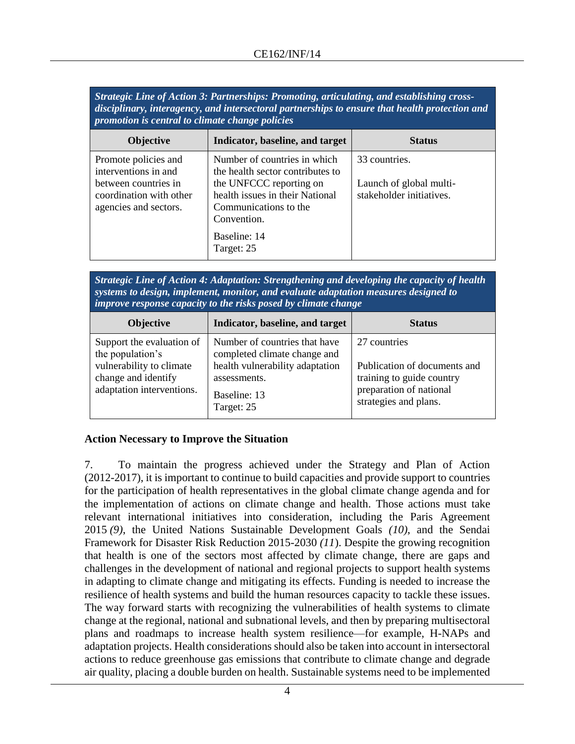*Strategic Line of Action 3: Partnerships: Promoting, articulating, and establishing crossdisciplinary, interagency, and intersectoral partnerships to ensure that health protection and promotion is central to climate change policies*

| <b>Objective</b>                                                                                                         | Indicator, baseline, and target                                                                                                                                                                      | <b>Status</b>                                                        |
|--------------------------------------------------------------------------------------------------------------------------|------------------------------------------------------------------------------------------------------------------------------------------------------------------------------------------------------|----------------------------------------------------------------------|
| Promote policies and<br>interventions in and<br>between countries in<br>coordination with other<br>agencies and sectors. | Number of countries in which<br>the health sector contributes to<br>the UNFCCC reporting on<br>health issues in their National<br>Communications to the<br>Convention.<br>Baseline: 14<br>Target: 25 | 33 countries.<br>Launch of global multi-<br>stakeholder initiatives. |

*Strategic Line of Action 4: Adaptation: Strengthening and developing the capacity of health systems to design, implement, monitor, and evaluate adaptation measures designed to improve response capacity to the risks posed by climate change*

| <b>Objective</b>                                                                                                              | Indicator, baseline, and target                                                                                                                | <b>Status</b>                                                                                                                 |
|-------------------------------------------------------------------------------------------------------------------------------|------------------------------------------------------------------------------------------------------------------------------------------------|-------------------------------------------------------------------------------------------------------------------------------|
| Support the evaluation of<br>the population's<br>vulnerability to climate<br>change and identify<br>adaptation interventions. | Number of countries that have<br>completed climate change and<br>health vulnerability adaptation<br>assessments.<br>Baseline: 13<br>Target: 25 | 27 countries<br>Publication of documents and<br>training to guide country<br>preparation of national<br>strategies and plans. |

## **Action Necessary to Improve the Situation**

7. To maintain the progress achieved under the Strategy and Plan of Action (2012-2017), it is important to continue to build capacities and provide support to countries for the participation of health representatives in the global climate change agenda and for the implementation of actions on climate change and health. Those actions must take relevant international initiatives into consideration, including the Paris Agreement 2015 *(9)*, the United Nations Sustainable Development Goals *(10)*, and the Sendai Framework for Disaster Risk Reduction 2015-2030 *(11*). Despite the growing recognition that health is one of the sectors most affected by climate change, there are gaps and challenges in the development of national and regional projects to support health systems in adapting to climate change and mitigating its effects. Funding is needed to increase the resilience of health systems and build the human resources capacity to tackle these issues. The way forward starts with recognizing the vulnerabilities of health systems to climate change at the regional, national and subnational levels, and then by preparing multisectoral plans and roadmaps to increase health system resilience—for example, H-NAPs and adaptation projects. Health considerations should also be taken into account in intersectoral actions to reduce greenhouse gas emissions that contribute to climate change and degrade air quality, placing a double burden on health. Sustainable systems need to be implemented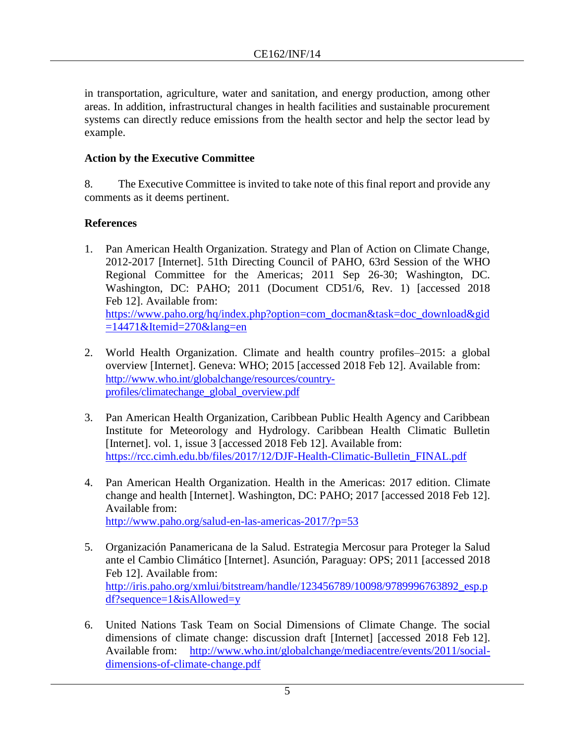in transportation, agriculture, water and sanitation, and energy production, among other areas. In addition, infrastructural changes in health facilities and sustainable procurement systems can directly reduce emissions from the health sector and help the sector lead by example.

## **Action by the Executive Committee**

8. The Executive Committee is invited to take note of this final report and provide any comments as it deems pertinent.

# **References**

- 1. Pan American Health Organization. Strategy and Plan of Action on Climate Change, 2012-2017 [Internet]. 51th Directing Council of PAHO, 63rd Session of the WHO Regional Committee for the Americas; 2011 Sep 26-30; Washington, DC. Washington, DC: PAHO; 2011 (Document CD51/6, Rev. 1) [accessed 2018 Feb 12]. Available from: [https://www.paho.org/hq/index.php?option=com\\_docman&task=doc\\_download&gid](https://www.paho.org/hq/index.php?option=com_docman&task=doc_download&gid=14471&Itemid=270&lang=en)  $=14471\&$ Itemid=270 $\&$ lang=en
- 2. World Health Organization. Climate and health country profiles–2015: a global overview [Internet]. Geneva: WHO; 2015 [accessed 2018 Feb 12]. Available from: [http://www.who.int/globalchange/resources/country](http://www.who.int/globalchange/resources/country-profiles/climatechange_global_overview.pdf)[profiles/climatechange\\_global\\_overview.pdf](http://www.who.int/globalchange/resources/country-profiles/climatechange_global_overview.pdf)
- 3. Pan American Health Organization, Caribbean Public Health Agency and Caribbean Institute for Meteorology and Hydrology. Caribbean Health Climatic Bulletin [Internet]. vol. 1, issue 3 [accessed 2018 Feb 12]. Available from: [https://rcc.cimh.edu.bb/files/2017/12/DJF-Health-Climatic-Bulletin\\_FINAL.pdf](https://rcc.cimh.edu.bb/files/2017/12/DJF-Health-Climatic-Bulletin_FINAL.pdf)
- 4. Pan American Health Organization. Health in the Americas: 2017 edition. Climate change and health [Internet]. Washington, DC: PAHO; 2017 [accessed 2018 Feb 12]. Available from: <http://www.paho.org/salud-en-las-americas-2017/?p=53>
- 5. Organización Panamericana de la Salud. Estrategia Mercosur para Proteger la Salud ante el Cambio Climático [Internet]. Asunción, Paraguay: OPS; 2011 [accessed 2018 Feb 12]. Available from: [http://iris.paho.org/xmlui/bitstream/handle/123456789/10098/9789996763892\\_esp.p](http://iris.paho.org/xmlui/bitstream/handle/123456789/10098/9789996763892_esp.pdf?sequence=1&isAllowed=y) [df?sequence=1&isAllowed=y](http://iris.paho.org/xmlui/bitstream/handle/123456789/10098/9789996763892_esp.pdf?sequence=1&isAllowed=y)
- 6. United Nations Task Team on Social Dimensions of Climate Change. The social dimensions of climate change: discussion draft [Internet] [accessed 2018 Feb 12]. Available from: [http://www.who.int/globalchange/mediacentre/events/2011/social](http://www.who.int/globalchange/mediacentre/events/2011/social-dimensions-of-climate-change.pdf)[dimensions-of-climate-change.pdf](http://www.who.int/globalchange/mediacentre/events/2011/social-dimensions-of-climate-change.pdf)